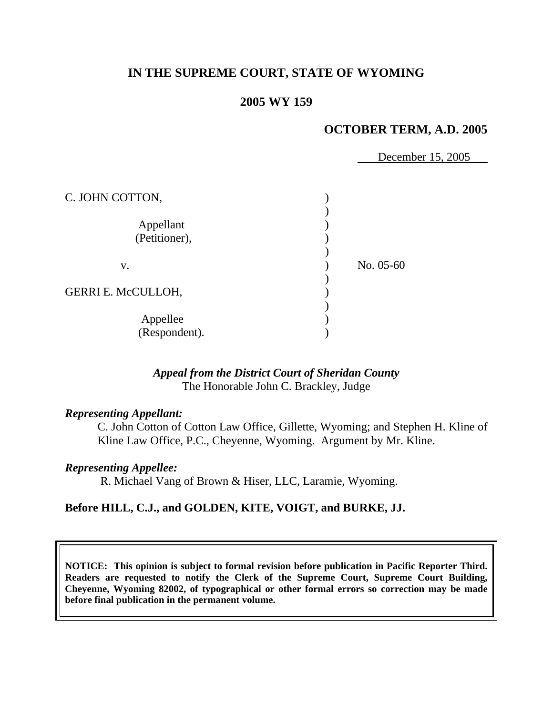# **IN THE SUPREME COURT, STATE OF WYOMING**

## **2005 WY 159**

# **OCTOBER TERM, A.D. 2005**

December 15, 2005

| C. JOHN COTTON,            |           |
|----------------------------|-----------|
| Appellant<br>(Petitioner), |           |
| v.                         | No. 05-60 |
| <b>GERRI E. McCULLOH,</b>  |           |
| Appellee<br>(Respondent).  |           |

# *Appeal from the District Court of Sheridan County* The Honorable John C. Brackley, Judge

#### *Representing Appellant:*

 C. John Cotton of Cotton Law Office, Gillette, Wyoming; and Stephen H. Kline of Kline Law Office, P.C., Cheyenne, Wyoming. Argument by Mr. Kline.

#### *Representing Appellee:*

R. Michael Vang of Brown & Hiser, LLC, Laramie, Wyoming.

### **Before HILL, C.J., and GOLDEN, KITE, VOIGT, and BURKE, JJ.**

**NOTICE: This opinion is subject to formal revision before publication in Pacific Reporter Third. Readers are requested to notify the Clerk of the Supreme Court, Supreme Court Building, Cheyenne, Wyoming 82002, of typographical or other formal errors so correction may be made before final publication in the permanent volume.**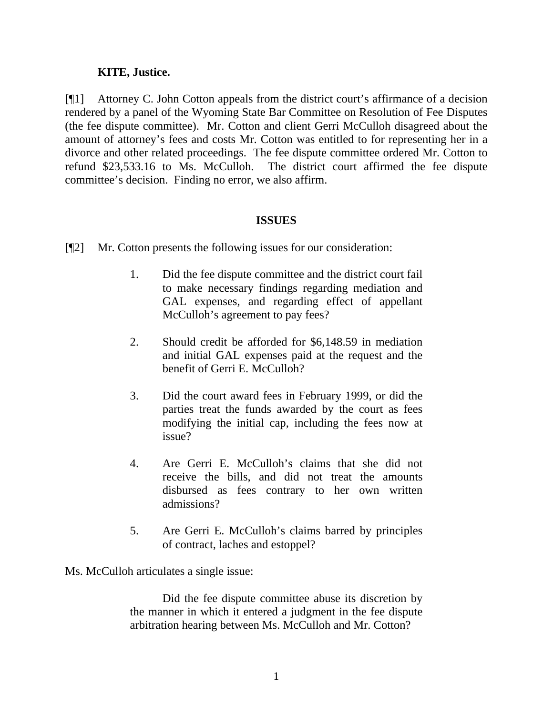### **KITE, Justice.**

[¶1] Attorney C. John Cotton appeals from the district court's affirmance of a decision rendered by a panel of the Wyoming State Bar Committee on Resolution of Fee Disputes (the fee dispute committee). Mr. Cotton and client Gerri McCulloh disagreed about the amount of attorney's fees and costs Mr. Cotton was entitled to for representing her in a divorce and other related proceedings. The fee dispute committee ordered Mr. Cotton to refund \$23,533.16 to Ms. McCulloh. The district court affirmed the fee dispute committee's decision. Finding no error, we also affirm.

## **ISSUES**

- [¶2] Mr. Cotton presents the following issues for our consideration:
	- 1. Did the fee dispute committee and the district court fail to make necessary findings regarding mediation and GAL expenses, and regarding effect of appellant McCulloh's agreement to pay fees?
	- 2. Should credit be afforded for \$6,148.59 in mediation and initial GAL expenses paid at the request and the benefit of Gerri E. McCulloh?
	- 3. Did the court award fees in February 1999, or did the parties treat the funds awarded by the court as fees modifying the initial cap, including the fees now at issue?
	- 4. Are Gerri E. McCulloh's claims that she did not receive the bills, and did not treat the amounts disbursed as fees contrary to her own written admissions?
	- 5. Are Gerri E. McCulloh's claims barred by principles of contract, laches and estoppel?

Ms. McCulloh articulates a single issue:

 Did the fee dispute committee abuse its discretion by the manner in which it entered a judgment in the fee dispute arbitration hearing between Ms. McCulloh and Mr. Cotton?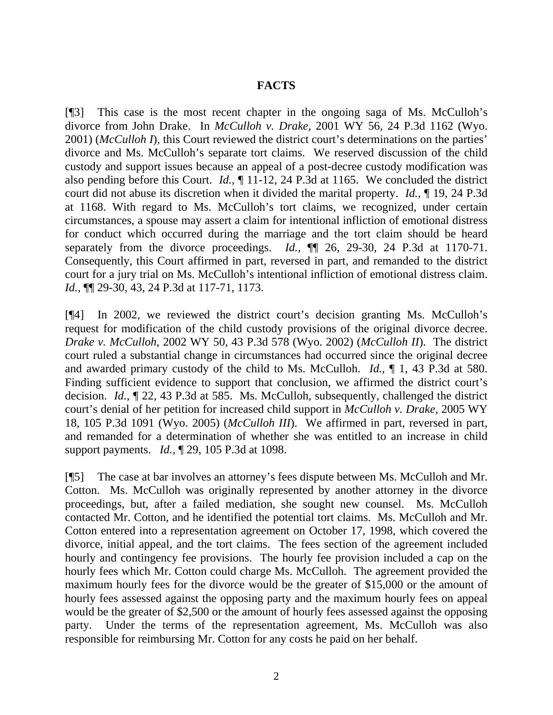### **FACTS**

[¶3] This case is the most recent chapter in the ongoing saga of Ms. McCulloh's divorce from John Drake. In *McCulloh v. Drake,* 2001 WY 56, 24 P.3d 1162 (Wyo. 2001) (*McCulloh I*), this Court reviewed the district court's determinations on the parties' divorce and Ms. McCulloh's separate tort claims. We reserved discussion of the child custody and support issues because an appeal of a post-decree custody modification was also pending before this Court. *Id.,* ¶ 11-12, 24 P.3d at 1165. We concluded the district court did not abuse its discretion when it divided the marital property. *Id.,* ¶ 19, 24 P.3d at 1168. With regard to Ms. McCulloh's tort claims, we recognized, under certain circumstances, a spouse may assert a claim for intentional infliction of emotional distress for conduct which occurred during the marriage and the tort claim should be heard separately from the divorce proceedings. *Id.*,  $\P$  26, 29-30, 24 P.3d at 1170-71. Consequently, this Court affirmed in part, reversed in part, and remanded to the district court for a jury trial on Ms. McCulloh's intentional infliction of emotional distress claim. *Id.,* ¶¶ 29-30, 43, 24 P.3d at 117-71, 1173.

[¶4] In 2002, we reviewed the district court's decision granting Ms. McCulloh's request for modification of the child custody provisions of the original divorce decree. *Drake v. McCulloh,* 2002 WY 50, 43 P.3d 578 (Wyo. 2002) (*McCulloh II*). The district court ruled a substantial change in circumstances had occurred since the original decree and awarded primary custody of the child to Ms. McCulloh. *Id.,* ¶ 1, 43 P.3d at 580. Finding sufficient evidence to support that conclusion, we affirmed the district court's decision. *Id.,* ¶ 22, 43 P.3d at 585. Ms. McCulloh, subsequently, challenged the district court's denial of her petition for increased child support in *McCulloh v. Drake,* 2005 WY 18, 105 P.3d 1091 (Wyo. 2005) (*McCulloh III*). We affirmed in part, reversed in part, and remanded for a determination of whether she was entitled to an increase in child support payments. *Id.,* ¶ 29, 105 P.3d at 1098.

[¶5] The case at bar involves an attorney's fees dispute between Ms. McCulloh and Mr. Cotton. Ms. McCulloh was originally represented by another attorney in the divorce proceedings, but, after a failed mediation, she sought new counsel. Ms. McCulloh contacted Mr. Cotton, and he identified the potential tort claims. Ms. McCulloh and Mr. Cotton entered into a representation agreement on October 17, 1998, which covered the divorce, initial appeal, and the tort claims. The fees section of the agreement included hourly and contingency fee provisions. The hourly fee provision included a cap on the hourly fees which Mr. Cotton could charge Ms. McCulloh. The agreement provided the maximum hourly fees for the divorce would be the greater of \$15,000 or the amount of hourly fees assessed against the opposing party and the maximum hourly fees on appeal would be the greater of \$2,500 or the amount of hourly fees assessed against the opposing party. Under the terms of the representation agreement, Ms. McCulloh was also responsible for reimbursing Mr. Cotton for any costs he paid on her behalf.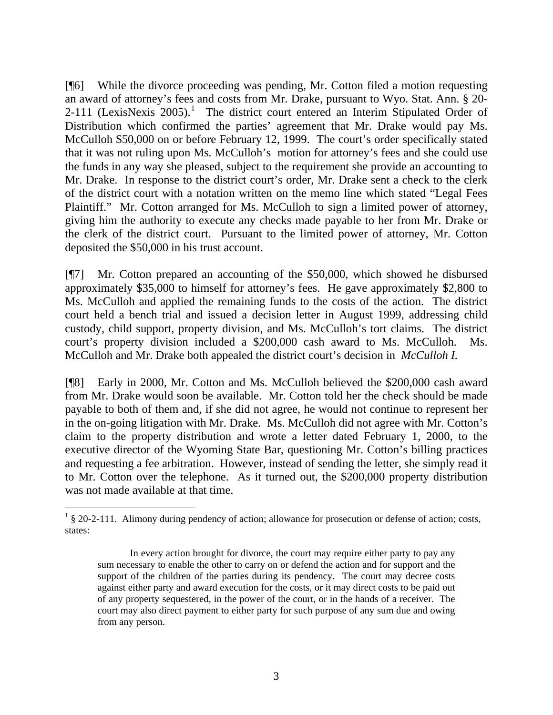[¶6] While the divorce proceeding was pending, Mr. Cotton filed a motion requesting an award of attorney's fees and costs from Mr. Drake, pursuant to Wyo. Stat. Ann. § 20-  $2-111$  $2-111$  $2-111$  (LexisNexis  $2005$ ).<sup>1</sup> The district court entered an Interim Stipulated Order of Distribution which confirmed the parties' agreement that Mr. Drake would pay Ms. McCulloh \$50,000 on or before February 12, 1999. The court's order specifically stated that it was not ruling upon Ms. McCulloh's motion for attorney's fees and she could use the funds in any way she pleased, subject to the requirement she provide an accounting to Mr. Drake. In response to the district court's order, Mr. Drake sent a check to the clerk of the district court with a notation written on the memo line which stated "Legal Fees Plaintiff." Mr. Cotton arranged for Ms. McCulloh to sign a limited power of attorney, giving him the authority to execute any checks made payable to her from Mr. Drake or the clerk of the district court. Pursuant to the limited power of attorney, Mr. Cotton deposited the \$50,000 in his trust account.

[¶7] Mr. Cotton prepared an accounting of the \$50,000, which showed he disbursed approximately \$35,000 to himself for attorney's fees. He gave approximately \$2,800 to Ms. McCulloh and applied the remaining funds to the costs of the action. The district court held a bench trial and issued a decision letter in August 1999, addressing child custody, child support, property division, and Ms. McCulloh's tort claims. The district court's property division included a \$200,000 cash award to Ms. McCulloh. Ms. McCulloh and Mr. Drake both appealed the district court's decision in *McCulloh I.* 

[¶8] Early in 2000, Mr. Cotton and Ms. McCulloh believed the \$200,000 cash award from Mr. Drake would soon be available. Mr. Cotton told her the check should be made payable to both of them and, if she did not agree, he would not continue to represent her in the on-going litigation with Mr. Drake. Ms. McCulloh did not agree with Mr. Cotton's claim to the property distribution and wrote a letter dated February 1, 2000, to the executive director of the Wyoming State Bar, questioning Mr. Cotton's billing practices and requesting a fee arbitration. However, instead of sending the letter, she simply read it to Mr. Cotton over the telephone. As it turned out, the \$200,000 property distribution was not made available at that time.

 $\overline{a}$ 

<span id="page-3-0"></span><sup>&</sup>lt;sup>1</sup> § 20-2-111. Alimony during pendency of action; allowance for prosecution or defense of action; costs, states:

In every action brought for divorce, the court may require either party to pay any sum necessary to enable the other to carry on or defend the action and for support and the support of the children of the parties during its pendency. The court may decree costs against either party and award execution for the costs, or it may direct costs to be paid out of any property sequestered, in the power of the court, or in the hands of a receiver. The court may also direct payment to either party for such purpose of any sum due and owing from any person.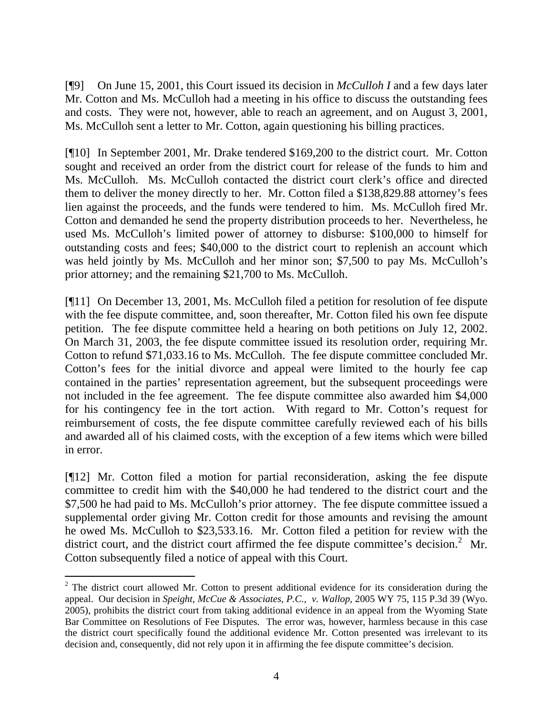[¶9] On June 15, 2001, this Court issued its decision in *McCulloh I* and a few days later Mr. Cotton and Ms. McCulloh had a meeting in his office to discuss the outstanding fees and costs. They were not, however, able to reach an agreement, and on August 3, 2001, Ms. McCulloh sent a letter to Mr. Cotton, again questioning his billing practices.

[¶10] In September 2001, Mr. Drake tendered \$169,200 to the district court. Mr. Cotton sought and received an order from the district court for release of the funds to him and Ms. McCulloh. Ms. McCulloh contacted the district court clerk's office and directed them to deliver the money directly to her. Mr. Cotton filed a \$138,829.88 attorney's fees lien against the proceeds, and the funds were tendered to him. Ms. McCulloh fired Mr. Cotton and demanded he send the property distribution proceeds to her. Nevertheless, he used Ms. McCulloh's limited power of attorney to disburse: \$100,000 to himself for outstanding costs and fees; \$40,000 to the district court to replenish an account which was held jointly by Ms. McCulloh and her minor son; \$7,500 to pay Ms. McCulloh's prior attorney; and the remaining \$21,700 to Ms. McCulloh.

[¶11] On December 13, 2001, Ms. McCulloh filed a petition for resolution of fee dispute with the fee dispute committee, and, soon thereafter, Mr. Cotton filed his own fee dispute petition. The fee dispute committee held a hearing on both petitions on July 12, 2002. On March 31, 2003, the fee dispute committee issued its resolution order, requiring Mr. Cotton to refund \$71,033.16 to Ms. McCulloh. The fee dispute committee concluded Mr. Cotton's fees for the initial divorce and appeal were limited to the hourly fee cap contained in the parties' representation agreement, but the subsequent proceedings were not included in the fee agreement. The fee dispute committee also awarded him \$4,000 for his contingency fee in the tort action. With regard to Mr. Cotton's request for reimbursement of costs, the fee dispute committee carefully reviewed each of his bills and awarded all of his claimed costs, with the exception of a few items which were billed in error.

[¶12] Mr. Cotton filed a motion for partial reconsideration, asking the fee dispute committee to credit him with the \$40,000 he had tendered to the district court and the \$7,500 he had paid to Ms. McCulloh's prior attorney. The fee dispute committee issued a supplemental order giving Mr. Cotton credit for those amounts and revising the amount he owed Ms. McCulloh to \$23,533.16. Mr. Cotton filed a petition for review with the district court, and the district court affirmed the fee dispute committee's decision.<sup>[2](#page-4-0)</sup> Mr. Cotton subsequently filed a notice of appeal with this Court.

<span id="page-4-0"></span>  $2$  The district court allowed Mr. Cotton to present additional evidence for its consideration during the appeal. Our decision in *Speight, McCue & Associates, P.C., v. Wallop,* 2005 WY 75, 115 P.3d 39 (Wyo. 2005), prohibits the district court from taking additional evidence in an appeal from the Wyoming State Bar Committee on Resolutions of Fee Disputes. The error was, however, harmless because in this case the district court specifically found the additional evidence Mr. Cotton presented was irrelevant to its decision and, consequently, did not rely upon it in affirming the fee dispute committee's decision.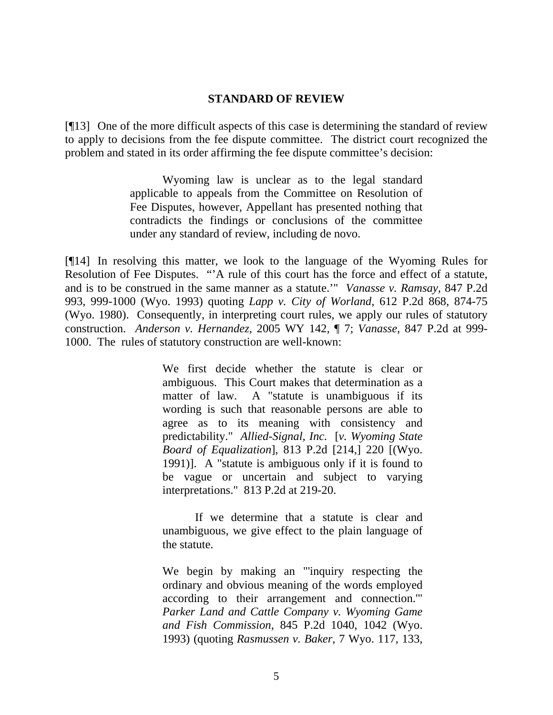#### **STANDARD OF REVIEW**

[¶13] One of the more difficult aspects of this case is determining the standard of review to apply to decisions from the fee dispute committee. The district court recognized the problem and stated in its order affirming the fee dispute committee's decision:

> Wyoming law is unclear as to the legal standard applicable to appeals from the Committee on Resolution of Fee Disputes, however, Appellant has presented nothing that contradicts the findings or conclusions of the committee under any standard of review, including de novo.

[¶14] In resolving this matter, we look to the language of the Wyoming Rules for Resolution of Fee Disputes. "'A rule of this court has the force and effect of a statute, and is to be construed in the same manner as a statute.'" *Vanasse v. Ramsay,* 847 P.2d 993, 999-1000 (Wyo. 1993) quoting *Lapp v. City of Worland*, 612 P.2d 868, 874-75 (Wyo. 1980). Consequently, in interpreting court rules, we apply our rules of statutory construction. *Anderson v. Hernandez,* 2005 WY 142, ¶ 7; *Vanasse,* 847 P.2d at 999- 1000. The rules of statutory construction are well-known:

> We first decide whether the statute is clear or ambiguous. This Court makes that determination as a matter of law. A "statute is unambiguous if its wording is such that reasonable persons are able to agree as to its meaning with consistency and predictability." *Allied-Signal, Inc.* [*v. Wyoming State Board of Equalization*], 813 P.2d [214,] 220 [(Wyo. 1991)]. A "statute is ambiguous only if it is found to be vague or uncertain and subject to varying interpretations." 813 P.2d at 219-20.

> If we determine that a statute is clear and unambiguous, we give effect to the plain language of the statute.

> We begin by making an "'inquiry respecting the ordinary and obvious meaning of the words employed according to their arrangement and connection.'" *Parker Land and Cattle Company v. Wyoming Game and Fish Commission*, 845 P.2d 1040, 1042 (Wyo. 1993) (quoting *Rasmussen v. Baker*, 7 Wyo. 117, 133,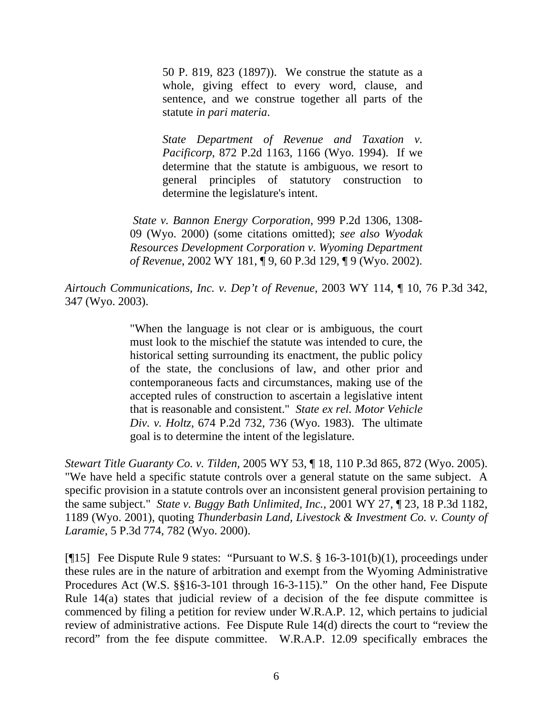50 P. 819, 823 (1897)). We construe the statute as a whole, giving effect to every word, clause, and sentence, and we construe together all parts of the statute *in pari materia*.

*State Department of Revenue and Taxation v. Pacificorp*, 872 P.2d 1163, 1166 (Wyo. 1994). If we determine that the statute is ambiguous, we resort to general principles of statutory construction to determine the legislature's intent.

*State v. Bannon Energy Corporation*, 999 P.2d 1306, 1308- 09 (Wyo. 2000) (some citations omitted); *see also Wyodak Resources Development Corporation v. Wyoming Department of Revenue*, 2002 WY 181, ¶ 9, 60 P.3d 129, ¶ 9 (Wyo. 2002).

*Airtouch Communications, Inc. v. Dep't of Revenue,* 2003 WY 114, ¶ 10, 76 P.3d 342, 347 (Wyo. 2003).

> "When the language is not clear or is ambiguous, the court must look to the mischief the statute was intended to cure, the historical setting surrounding its enactment, the public policy of the state, the conclusions of law, and other prior and contemporaneous facts and circumstances, making use of the accepted rules of construction to ascertain a legislative intent that is reasonable and consistent." *State ex rel. Motor Vehicle Div. v. Holtz*, 674 P.2d 732, 736 (Wyo. 1983). The ultimate goal is to determine the intent of the legislature.

*Stewart Title Guaranty Co. v. Tilden,* 2005 WY 53, ¶ 18, 110 P.3d 865, 872 (Wyo. 2005). "We have held a specific statute controls over a general statute on the same subject. A specific provision in a statute controls over an inconsistent general provision pertaining to the same subject." *State v. Buggy Bath Unlimited, Inc.,* 2001 WY 27, ¶ 23, 18 P.3d 1182, 1189 (Wyo. 2001), quoting *Thunderbasin Land, Livestock & Investment Co. v. County of Laramie*, 5 P.3d 774, 782 (Wyo. 2000).

[¶15] Fee Dispute Rule 9 states: "Pursuant to W.S. § 16-3-101(b)(1), proceedings under these rules are in the nature of arbitration and exempt from the Wyoming Administrative Procedures Act (W.S. §§16-3-101 through 16-3-115)." On the other hand, Fee Dispute Rule 14(a) states that judicial review of a decision of the fee dispute committee is commenced by filing a petition for review under W.R.A.P. 12, which pertains to judicial review of administrative actions. Fee Dispute Rule 14(d) directs the court to "review the record" from the fee dispute committee. W.R.A.P. 12.09 specifically embraces the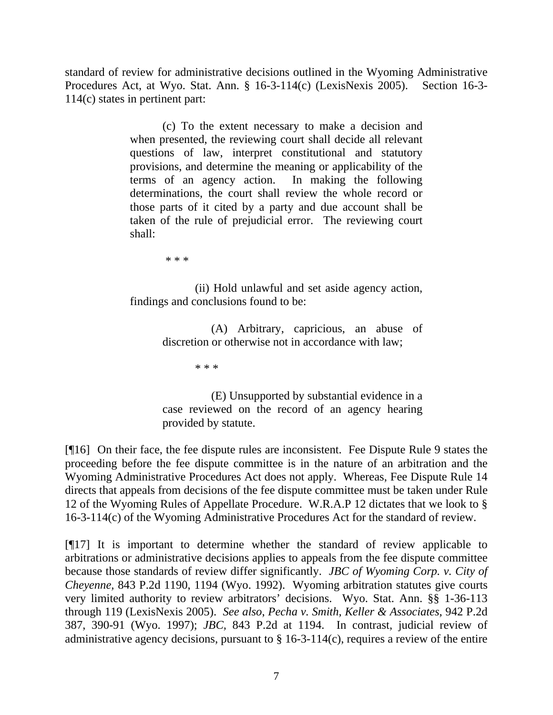standard of review for administrative decisions outlined in the Wyoming Administrative Procedures Act, at Wyo. Stat. Ann. § 16-3-114(c) (LexisNexis 2005). Section 16-3- 114(c) states in pertinent part:

> (c) To the extent necessary to make a decision and when presented, the reviewing court shall decide all relevant questions of law, interpret constitutional and statutory provisions, and determine the meaning or applicability of the terms of an agency action. In making the following determinations, the court shall review the whole record or those parts of it cited by a party and due account shall be taken of the rule of prejudicial error. The reviewing court shall:

> > \* \* \*

 (ii) Hold unlawful and set aside agency action, findings and conclusions found to be:

> (A) Arbitrary, capricious, an abuse of discretion or otherwise not in accordance with law;

> > \* \* \*

(E) Unsupported by substantial evidence in a case reviewed on the record of an agency hearing provided by statute.

[¶16] On their face, the fee dispute rules are inconsistent. Fee Dispute Rule 9 states the proceeding before the fee dispute committee is in the nature of an arbitration and the Wyoming Administrative Procedures Act does not apply. Whereas, Fee Dispute Rule 14 directs that appeals from decisions of the fee dispute committee must be taken under Rule 12 of the Wyoming Rules of Appellate Procedure. W.R.A.P 12 dictates that we look to § 16-3-114(c) of the Wyoming Administrative Procedures Act for the standard of review.

[¶17] It is important to determine whether the standard of review applicable to arbitrations or administrative decisions applies to appeals from the fee dispute committee because those standards of review differ significantly. *JBC of Wyoming Corp. v. City of Cheyenne,* 843 P.2d 1190, 1194 (Wyo. 1992). Wyoming arbitration statutes give courts very limited authority to review arbitrators' decisions. Wyo. Stat. Ann. §§ 1-36-113 through 119 (LexisNexis 2005). *See also*, *Pecha v. Smith, Keller & Associates,* 942 P.2d 387, 390-91 (Wyo. 1997); *JBC,* 843 P.2d at 1194. In contrast, judicial review of administrative agency decisions, pursuant to  $\S$  16-3-114(c), requires a review of the entire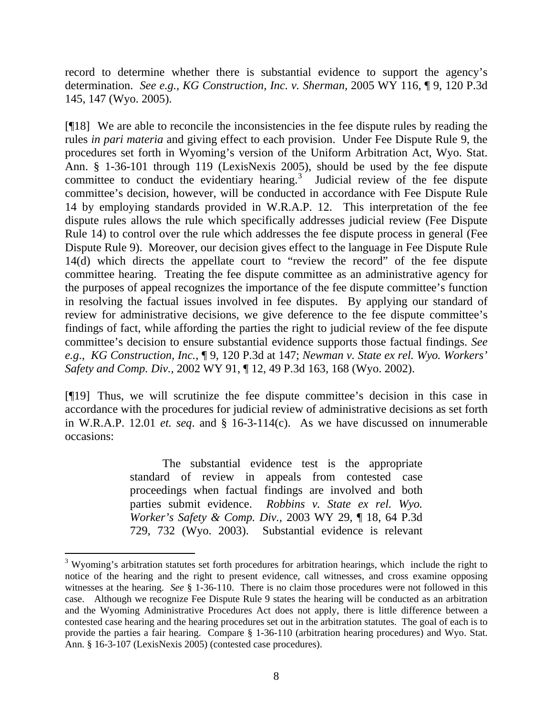record to determine whether there is substantial evidence to support the agency's determination. *See e.g., KG Construction, Inc. v. Sherman,* 2005 WY 116, ¶ 9, 120 P.3d 145, 147 (Wyo. 2005).

[¶18] We are able to reconcile the inconsistencies in the fee dispute rules by reading the rules *in pari materia* and giving effect to each provision. Under Fee Dispute Rule 9, the procedures set forth in Wyoming's version of the Uniform Arbitration Act, Wyo. Stat. Ann. § 1-36-101 through 119 (LexisNexis 2005), should be used by the fee dispute committee to conduct the evidentiary hearing.<sup>[3](#page-8-0)</sup> Judicial review of the fee dispute committee's decision, however, will be conducted in accordance with Fee Dispute Rule 14 by employing standards provided in W.R.A.P. 12. This interpretation of the fee dispute rules allows the rule which specifically addresses judicial review (Fee Dispute Rule 14) to control over the rule which addresses the fee dispute process in general (Fee Dispute Rule 9). Moreover, our decision gives effect to the language in Fee Dispute Rule 14(d) which directs the appellate court to "review the record" of the fee dispute committee hearing. Treating the fee dispute committee as an administrative agency for the purposes of appeal recognizes the importance of the fee dispute committee's function in resolving the factual issues involved in fee disputes. By applying our standard of review for administrative decisions, we give deference to the fee dispute committee's findings of fact, while affording the parties the right to judicial review of the fee dispute committee's decision to ensure substantial evidence supports those factual findings. *See e.g*., *KG Construction, Inc.*, ¶ 9, 120 P.3d at 147; *Newman v. State ex rel. Wyo. Workers' Safety and Comp. Div.,* 2002 WY 91, ¶ 12, 49 P.3d 163, 168 (Wyo. 2002).

[¶19] Thus, we will scrutinize the fee dispute committee's decision in this case in accordance with the procedures for judicial review of administrative decisions as set forth in W.R.A.P. 12.01 *et. seq*. and § 16-3-114(c). As we have discussed on innumerable occasions:

> The substantial evidence test is the appropriate standard of review in appeals from contested case proceedings when factual findings are involved and both parties submit evidence. *Robbins v. State ex rel. Wyo. Worker's Safety & Comp. Div.,* 2003 WY 29, ¶ 18, 64 P.3d 729, 732 (Wyo. 2003). Substantial evidence is relevant

 $\overline{a}$ 

<span id="page-8-0"></span> $3$  Wyoming's arbitration statutes set forth procedures for arbitration hearings, which include the right to notice of the hearing and the right to present evidence, call witnesses, and cross examine opposing witnesses at the hearing. *See* § 1-36-110. There is no claim those procedures were not followed in this case. Although we recognize Fee Dispute Rule 9 states the hearing will be conducted as an arbitration and the Wyoming Administrative Procedures Act does not apply, there is little difference between a contested case hearing and the hearing procedures set out in the arbitration statutes. The goal of each is to provide the parties a fair hearing. Compare § 1-36-110 (arbitration hearing procedures) and Wyo. Stat. Ann. § 16-3-107 (LexisNexis 2005) (contested case procedures).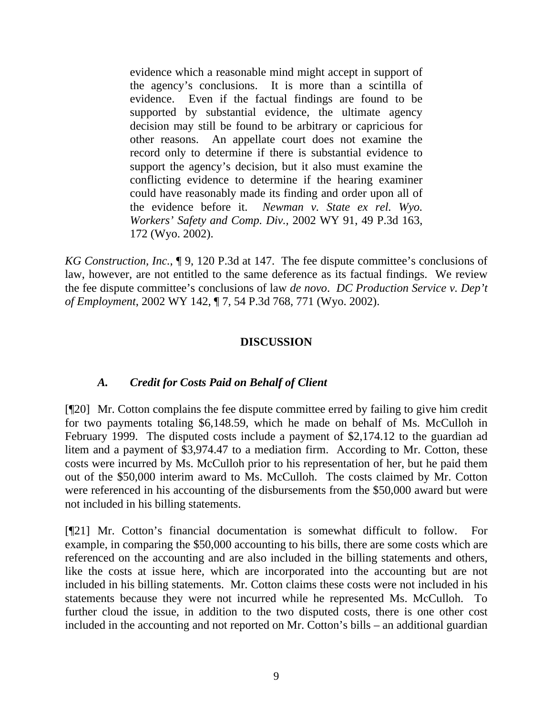evidence which a reasonable mind might accept in support of the agency's conclusions. It is more than a scintilla of evidence. Even if the factual findings are found to be supported by substantial evidence, the ultimate agency decision may still be found to be arbitrary or capricious for other reasons. An appellate court does not examine the record only to determine if there is substantial evidence to support the agency's decision, but it also must examine the conflicting evidence to determine if the hearing examiner could have reasonably made its finding and order upon all of the evidence before it. *Newman v. State ex rel. Wyo. Workers' Safety and Comp. Div.,* 2002 WY 91, 49 P.3d 163, 172 (Wyo. 2002).

*KG Construction, Inc.*, ¶ 9, 120 P.3d at 147. The fee dispute committee's conclusions of law, however, are not entitled to the same deference as its factual findings. We review the fee dispute committee's conclusions of law *de novo*. *DC Production Service v. Dep't of Employment*, 2002 WY 142, ¶ 7, 54 P.3d 768, 771 (Wyo. 2002).

# **DISCUSSION**

### *A. Credit for Costs Paid on Behalf of Client*

[¶20] Mr. Cotton complains the fee dispute committee erred by failing to give him credit for two payments totaling \$6,148.59, which he made on behalf of Ms. McCulloh in February 1999. The disputed costs include a payment of \$2,174.12 to the guardian ad litem and a payment of \$3,974.47 to a mediation firm. According to Mr. Cotton, these costs were incurred by Ms. McCulloh prior to his representation of her, but he paid them out of the \$50,000 interim award to Ms. McCulloh. The costs claimed by Mr. Cotton were referenced in his accounting of the disbursements from the \$50,000 award but were not included in his billing statements.

[¶21] Mr. Cotton's financial documentation is somewhat difficult to follow. For example, in comparing the \$50,000 accounting to his bills, there are some costs which are referenced on the accounting and are also included in the billing statements and others, like the costs at issue here, which are incorporated into the accounting but are not included in his billing statements. Mr. Cotton claims these costs were not included in his statements because they were not incurred while he represented Ms. McCulloh. To further cloud the issue, in addition to the two disputed costs, there is one other cost included in the accounting and not reported on Mr. Cotton's bills – an additional guardian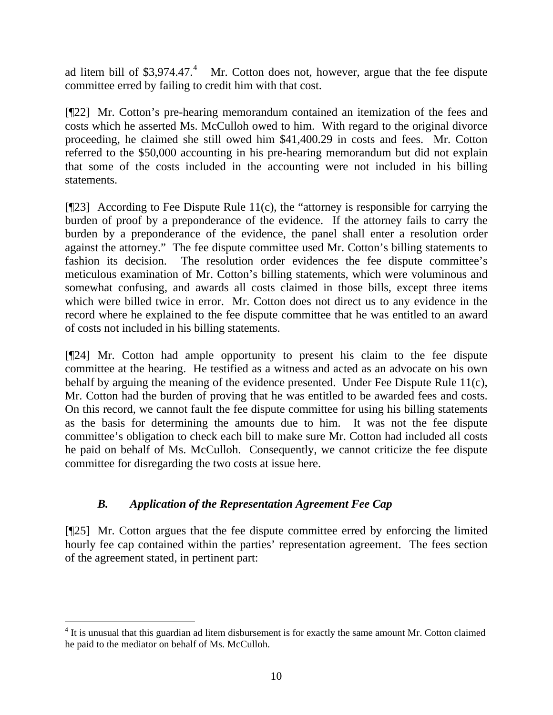ad litem bill of \$3,97[4](#page-10-0).47. $4$  Mr. Cotton does not, however, argue that the fee dispute committee erred by failing to credit him with that cost.

[¶22] Mr. Cotton's pre-hearing memorandum contained an itemization of the fees and costs which he asserted Ms. McCulloh owed to him. With regard to the original divorce proceeding, he claimed she still owed him \$41,400.29 in costs and fees. Mr. Cotton referred to the \$50,000 accounting in his pre-hearing memorandum but did not explain that some of the costs included in the accounting were not included in his billing statements.

 $[$ [[23] According to Fee Dispute Rule 11(c), the "attorney is responsible for carrying the burden of proof by a preponderance of the evidence. If the attorney fails to carry the burden by a preponderance of the evidence, the panel shall enter a resolution order against the attorney." The fee dispute committee used Mr. Cotton's billing statements to fashion its decision. The resolution order evidences the fee dispute committee's meticulous examination of Mr. Cotton's billing statements, which were voluminous and somewhat confusing, and awards all costs claimed in those bills, except three items which were billed twice in error. Mr. Cotton does not direct us to any evidence in the record where he explained to the fee dispute committee that he was entitled to an award of costs not included in his billing statements.

[¶24] Mr. Cotton had ample opportunity to present his claim to the fee dispute committee at the hearing. He testified as a witness and acted as an advocate on his own behalf by arguing the meaning of the evidence presented. Under Fee Dispute Rule 11(c), Mr. Cotton had the burden of proving that he was entitled to be awarded fees and costs. On this record, we cannot fault the fee dispute committee for using his billing statements as the basis for determining the amounts due to him. It was not the fee dispute committee's obligation to check each bill to make sure Mr. Cotton had included all costs he paid on behalf of Ms. McCulloh. Consequently, we cannot criticize the fee dispute committee for disregarding the two costs at issue here.

# *B. Application of the Representation Agreement Fee Cap*

[¶25] Mr. Cotton argues that the fee dispute committee erred by enforcing the limited hourly fee cap contained within the parties' representation agreement. The fees section of the agreement stated, in pertinent part:

<span id="page-10-0"></span><sup>&</sup>lt;sup>4</sup> It is unusual that this guardian ad litem disbursement is for exactly the same amount Mr. Cotton claimed he paid to the mediator on behalf of Ms. McCulloh.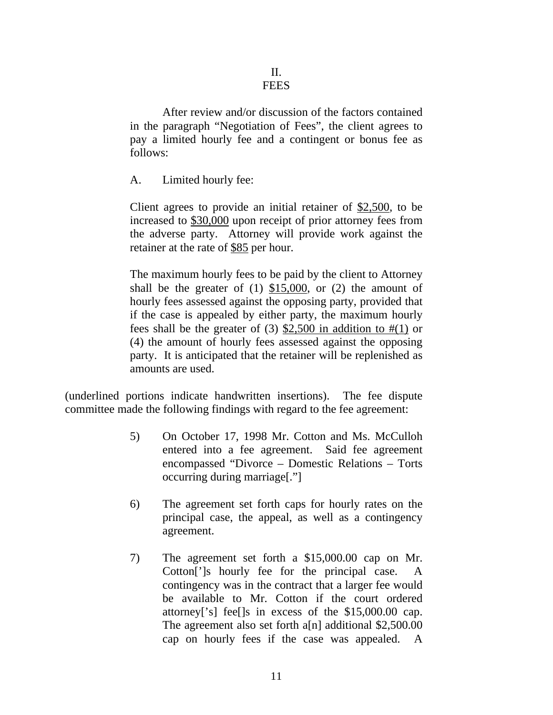After review and/or discussion of the factors contained in the paragraph "Negotiation of Fees", the client agrees to pay a limited hourly fee and a contingent or bonus fee as follows:

A. Limited hourly fee:

Client agrees to provide an initial retainer of \$2,500, to be increased to \$30,000 upon receipt of prior attorney fees from the adverse party. Attorney will provide work against the retainer at the rate of \$85 per hour.

The maximum hourly fees to be paid by the client to Attorney shall be the greater of  $(1)$  \$15,000, or  $(2)$  the amount of hourly fees assessed against the opposing party, provided that if the case is appealed by either party, the maximum hourly fees shall be the greater of (3)  $$2,500$  in addition to  $\#(1)$  or (4) the amount of hourly fees assessed against the opposing party. It is anticipated that the retainer will be replenished as amounts are used.

(underlined portions indicate handwritten insertions). The fee dispute committee made the following findings with regard to the fee agreement:

- 5) On October 17, 1998 Mr. Cotton and Ms. McCulloh entered into a fee agreement. Said fee agreement encompassed "Divorce – Domestic Relations – Torts occurring during marriage[."]
- 6) The agreement set forth caps for hourly rates on the principal case, the appeal, as well as a contingency agreement.
- 7) The agreement set forth a \$15,000.00 cap on Mr. Cotton[']s hourly fee for the principal case. A contingency was in the contract that a larger fee would be available to Mr. Cotton if the court ordered attorney['s] fee[]s in excess of the \$15,000.00 cap. The agreement also set forth a[n] additional \$2,500.00 cap on hourly fees if the case was appealed. A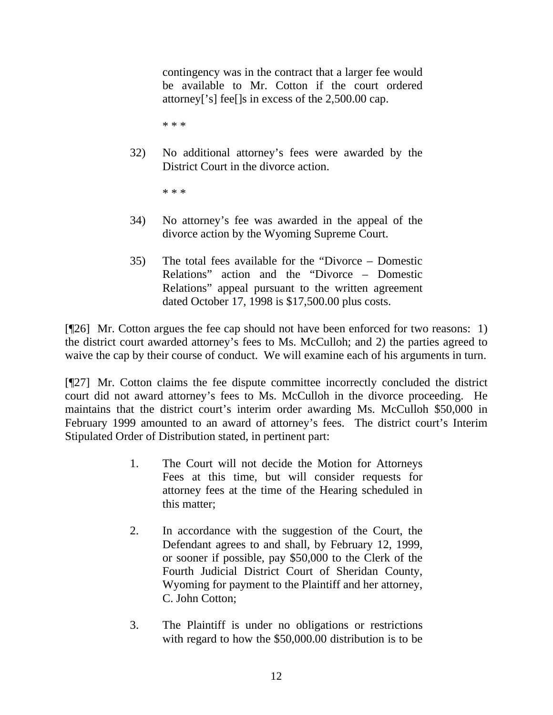contingency was in the contract that a larger fee would be available to Mr. Cotton if the court ordered attorney['s] fee[]s in excess of the 2,500.00 cap.

\* \* \*

32) No additional attorney's fees were awarded by the District Court in the divorce action.

\* \* \*

- 34) No attorney's fee was awarded in the appeal of the divorce action by the Wyoming Supreme Court.
- 35) The total fees available for the "Divorce Domestic Relations" action and the "Divorce – Domestic Relations" appeal pursuant to the written agreement dated October 17, 1998 is \$17,500.00 plus costs.

[¶26] Mr. Cotton argues the fee cap should not have been enforced for two reasons: 1) the district court awarded attorney's fees to Ms. McCulloh; and 2) the parties agreed to waive the cap by their course of conduct. We will examine each of his arguments in turn.

[¶27] Mr. Cotton claims the fee dispute committee incorrectly concluded the district court did not award attorney's fees to Ms. McCulloh in the divorce proceeding. He maintains that the district court's interim order awarding Ms. McCulloh \$50,000 in February 1999 amounted to an award of attorney's fees. The district court's Interim Stipulated Order of Distribution stated, in pertinent part:

- 1. The Court will not decide the Motion for Attorneys Fees at this time, but will consider requests for attorney fees at the time of the Hearing scheduled in this matter;
- 2. In accordance with the suggestion of the Court, the Defendant agrees to and shall, by February 12, 1999, or sooner if possible, pay \$50,000 to the Clerk of the Fourth Judicial District Court of Sheridan County, Wyoming for payment to the Plaintiff and her attorney, C. John Cotton;
- 3. The Plaintiff is under no obligations or restrictions with regard to how the \$50,000.00 distribution is to be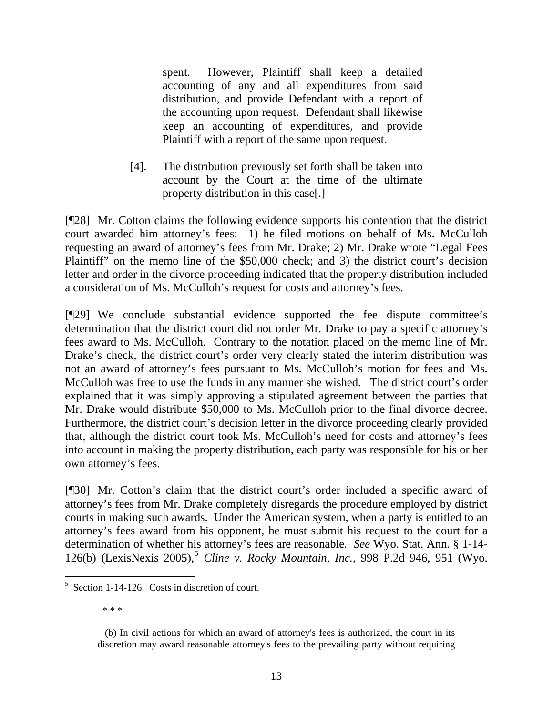spent. However, Plaintiff shall keep a detailed accounting of any and all expenditures from said distribution, and provide Defendant with a report of the accounting upon request. Defendant shall likewise keep an accounting of expenditures, and provide Plaintiff with a report of the same upon request.

[4]. The distribution previously set forth shall be taken into account by the Court at the time of the ultimate property distribution in this case[.]

[¶28] Mr. Cotton claims the following evidence supports his contention that the district court awarded him attorney's fees: 1) he filed motions on behalf of Ms. McCulloh requesting an award of attorney's fees from Mr. Drake; 2) Mr. Drake wrote "Legal Fees Plaintiff" on the memo line of the \$50,000 check; and 3) the district court's decision letter and order in the divorce proceeding indicated that the property distribution included a consideration of Ms. McCulloh's request for costs and attorney's fees.

[¶29] We conclude substantial evidence supported the fee dispute committee's determination that the district court did not order Mr. Drake to pay a specific attorney's fees award to Ms. McCulloh. Contrary to the notation placed on the memo line of Mr. Drake's check, the district court's order very clearly stated the interim distribution was not an award of attorney's fees pursuant to Ms. McCulloh's motion for fees and Ms. McCulloh was free to use the funds in any manner she wished. The district court's order explained that it was simply approving a stipulated agreement between the parties that Mr. Drake would distribute \$50,000 to Ms. McCulloh prior to the final divorce decree. Furthermore, the district court's decision letter in the divorce proceeding clearly provided that, although the district court took Ms. McCulloh's need for costs and attorney's fees into account in making the property distribution, each party was responsible for his or her own attorney's fees.

[¶30] Mr. Cotton's claim that the district court's order included a specific award of attorney's fees from Mr. Drake completely disregards the procedure employed by district courts in making such awards. Under the American system, when a party is entitled to an attorney's fees award from his opponent, he must submit his request to the court for a determination of whether his attorney's fees are reasonable*. See* Wyo. Stat. Ann. § 1-14- 126(b) (LexisNexis 200[5](#page-13-0)),<sup>5</sup> *Cline v. Rocky Mountain, Inc.*, 998 P.2d 946, 951 (Wyo.

\* \* \*

<span id="page-13-0"></span> $5$  Section 1-14-126. Costs in discretion of court.

 <sup>(</sup>b) In civil actions for which an award of attorney's fees is authorized, the court in its discretion may award reasonable attorney's fees to the prevailing party without requiring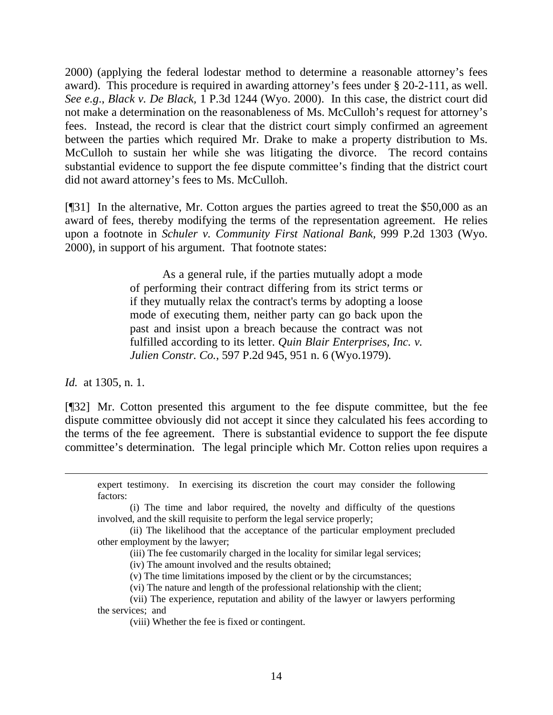2000) (applying the federal lodestar method to determine a reasonable attorney's fees award). This procedure is required in awarding attorney's fees under § 20-2-111, as well. *See e.g*., *Black v. De Black,* 1 P.3d 1244 (Wyo. 2000). In this case, the district court did not make a determination on the reasonableness of Ms. McCulloh's request for attorney's fees. Instead, the record is clear that the district court simply confirmed an agreement between the parties which required Mr. Drake to make a property distribution to Ms. McCulloh to sustain her while she was litigating the divorce. The record contains substantial evidence to support the fee dispute committee's finding that the district court did not award attorney's fees to Ms. McCulloh.

[¶31] In the alternative, Mr. Cotton argues the parties agreed to treat the \$50,000 as an award of fees, thereby modifying the terms of the representation agreement. He relies upon a footnote in *Schuler v. Community First National Bank,* 999 P.2d 1303 (Wyo. 2000), in support of his argument. That footnote states:

> As a general rule, if the parties mutually adopt a mode of performing their contract differing from its strict terms or if they mutually relax the contract's terms by adopting a loose mode of executing them, neither party can go back upon the past and insist upon a breach because the contract was not fulfilled according to its letter. *Quin Blair Enterprises, Inc. v. Julien Constr. Co.*, 597 P.2d 945, 951 n. 6 (Wyo.1979).

*Id.* at 1305, n. 1.

l

[¶32] Mr. Cotton presented this argument to the fee dispute committee, but the fee dispute committee obviously did not accept it since they calculated his fees according to the terms of the fee agreement. There is substantial evidence to support the fee dispute committee's determination. The legal principle which Mr. Cotton relies upon requires a

expert testimony. In exercising its discretion the court may consider the following factors:

 (i) The time and labor required, the novelty and difficulty of the questions involved, and the skill requisite to perform the legal service properly;

 (ii) The likelihood that the acceptance of the particular employment precluded other employment by the lawyer;

(iii) The fee customarily charged in the locality for similar legal services;

(iv) The amount involved and the results obtained;

(v) The time limitations imposed by the client or by the circumstances;

(vi) The nature and length of the professional relationship with the client;

 (vii) The experience, reputation and ability of the lawyer or lawyers performing the services; and

(viii) Whether the fee is fixed or contingent.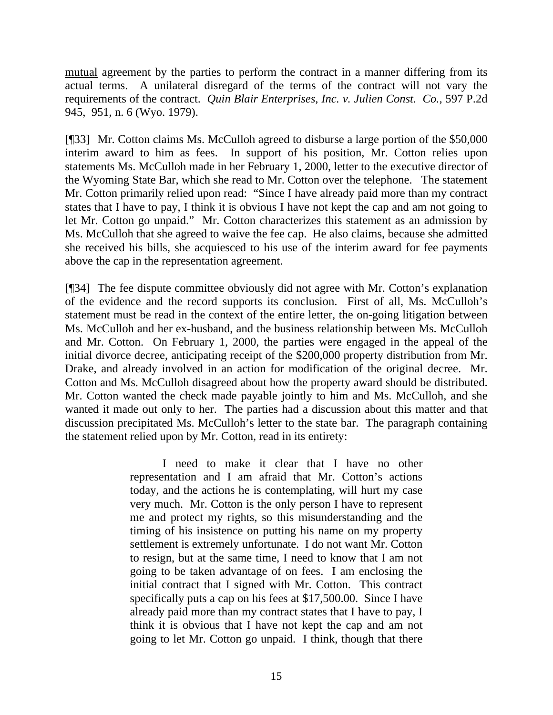mutual agreement by the parties to perform the contract in a manner differing from its actual terms. A unilateral disregard of the terms of the contract will not vary the requirements of the contract. *Quin Blair Enterprises, Inc. v. Julien Const. Co.,* 597 P.2d 945, 951, n. 6 (Wyo. 1979).

[¶33] Mr. Cotton claims Ms. McCulloh agreed to disburse a large portion of the \$50,000 interim award to him as fees. In support of his position, Mr. Cotton relies upon statements Ms. McCulloh made in her February 1, 2000, letter to the executive director of the Wyoming State Bar, which she read to Mr. Cotton over the telephone. The statement Mr. Cotton primarily relied upon read: "Since I have already paid more than my contract states that I have to pay, I think it is obvious I have not kept the cap and am not going to let Mr. Cotton go unpaid." Mr. Cotton characterizes this statement as an admission by Ms. McCulloh that she agreed to waive the fee cap. He also claims, because she admitted she received his bills, she acquiesced to his use of the interim award for fee payments above the cap in the representation agreement.

[¶34] The fee dispute committee obviously did not agree with Mr. Cotton's explanation of the evidence and the record supports its conclusion. First of all, Ms. McCulloh's statement must be read in the context of the entire letter, the on-going litigation between Ms. McCulloh and her ex-husband, and the business relationship between Ms. McCulloh and Mr. Cotton. On February 1, 2000, the parties were engaged in the appeal of the initial divorce decree, anticipating receipt of the \$200,000 property distribution from Mr. Drake, and already involved in an action for modification of the original decree. Mr. Cotton and Ms. McCulloh disagreed about how the property award should be distributed. Mr. Cotton wanted the check made payable jointly to him and Ms. McCulloh, and she wanted it made out only to her. The parties had a discussion about this matter and that discussion precipitated Ms. McCulloh's letter to the state bar. The paragraph containing the statement relied upon by Mr. Cotton, read in its entirety:

> I need to make it clear that I have no other representation and I am afraid that Mr. Cotton's actions today, and the actions he is contemplating, will hurt my case very much. Mr. Cotton is the only person I have to represent me and protect my rights, so this misunderstanding and the timing of his insistence on putting his name on my property settlement is extremely unfortunate. I do not want Mr. Cotton to resign, but at the same time, I need to know that I am not going to be taken advantage of on fees. I am enclosing the initial contract that I signed with Mr. Cotton. This contract specifically puts a cap on his fees at \$17,500.00. Since I have already paid more than my contract states that I have to pay, I think it is obvious that I have not kept the cap and am not going to let Mr. Cotton go unpaid. I think, though that there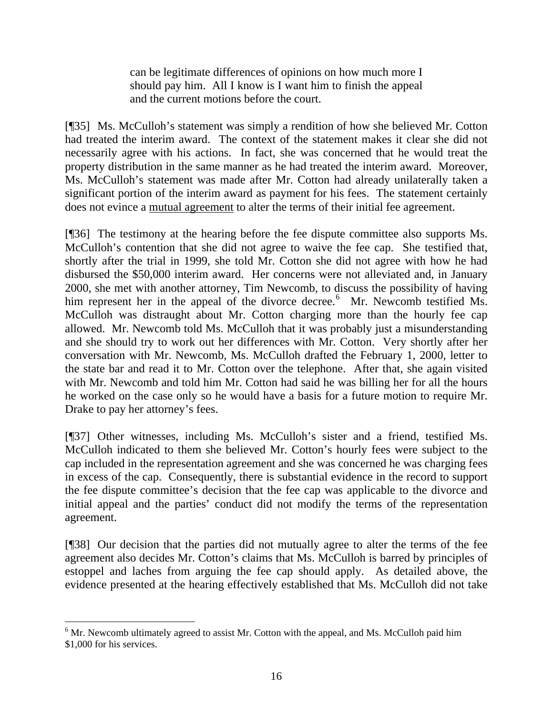can be legitimate differences of opinions on how much more I should pay him. All I know is I want him to finish the appeal and the current motions before the court.

[¶35] Ms. McCulloh's statement was simply a rendition of how she believed Mr. Cotton had treated the interim award. The context of the statement makes it clear she did not necessarily agree with his actions. In fact, she was concerned that he would treat the property distribution in the same manner as he had treated the interim award. Moreover, Ms. McCulloh's statement was made after Mr. Cotton had already unilaterally taken a significant portion of the interim award as payment for his fees. The statement certainly does not evince a mutual agreement to alter the terms of their initial fee agreement.

[¶36] The testimony at the hearing before the fee dispute committee also supports Ms. McCulloh's contention that she did not agree to waive the fee cap. She testified that, shortly after the trial in 1999, she told Mr. Cotton she did not agree with how he had disbursed the \$50,000 interim award. Her concerns were not alleviated and, in January 2000, she met with another attorney, Tim Newcomb, to discuss the possibility of having him represent her in the appeal of the divorce decree.<sup>[6](#page-16-0)</sup> Mr. Newcomb testified Ms. McCulloh was distraught about Mr. Cotton charging more than the hourly fee cap allowed. Mr. Newcomb told Ms. McCulloh that it was probably just a misunderstanding and she should try to work out her differences with Mr. Cotton. Very shortly after her conversation with Mr. Newcomb, Ms. McCulloh drafted the February 1, 2000, letter to the state bar and read it to Mr. Cotton over the telephone. After that, she again visited with Mr. Newcomb and told him Mr. Cotton had said he was billing her for all the hours he worked on the case only so he would have a basis for a future motion to require Mr. Drake to pay her attorney's fees.

[¶37] Other witnesses, including Ms. McCulloh's sister and a friend, testified Ms. McCulloh indicated to them she believed Mr. Cotton's hourly fees were subject to the cap included in the representation agreement and she was concerned he was charging fees in excess of the cap. Consequently, there is substantial evidence in the record to support the fee dispute committee's decision that the fee cap was applicable to the divorce and initial appeal and the parties' conduct did not modify the terms of the representation agreement.

[¶38] Our decision that the parties did not mutually agree to alter the terms of the fee agreement also decides Mr. Cotton's claims that Ms. McCulloh is barred by principles of estoppel and laches from arguing the fee cap should apply. As detailed above, the evidence presented at the hearing effectively established that Ms. McCulloh did not take

<span id="page-16-0"></span> $6$  Mr. Newcomb ultimately agreed to assist Mr. Cotton with the appeal, and Ms. McCulloh paid him \$1,000 for his services.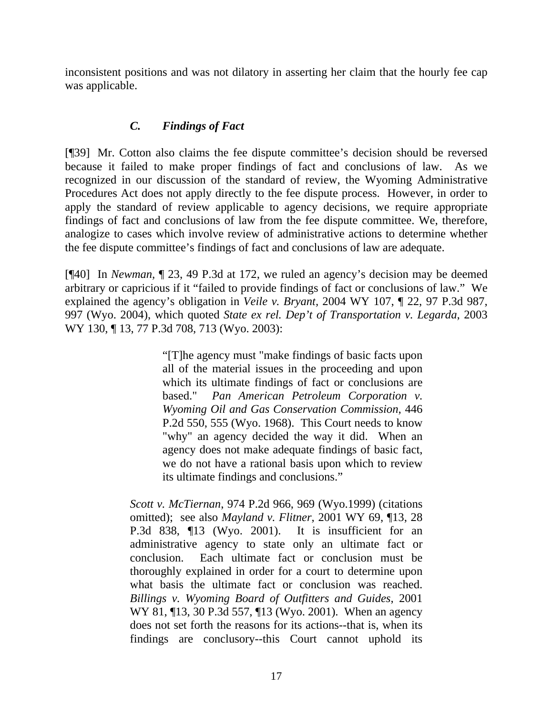inconsistent positions and was not dilatory in asserting her claim that the hourly fee cap was applicable.

# *C. Findings of Fact*

[¶39] Mr. Cotton also claims the fee dispute committee's decision should be reversed because it failed to make proper findings of fact and conclusions of law. As we recognized in our discussion of the standard of review, the Wyoming Administrative Procedures Act does not apply directly to the fee dispute process. However, in order to apply the standard of review applicable to agency decisions, we require appropriate findings of fact and conclusions of law from the fee dispute committee. We, therefore, analogize to cases which involve review of administrative actions to determine whether the fee dispute committee's findings of fact and conclusions of law are adequate.

[¶40] In *Newman,* ¶ 23, 49 P.3d at 172, we ruled an agency's decision may be deemed arbitrary or capricious if it "failed to provide findings of fact or conclusions of law." We explained the agency's obligation in *Veile v. Bryant,* 2004 WY 107, ¶ 22, 97 P.3d 987, 997 (Wyo. 2004), which quoted *State ex rel. Dep't of Transportation v. Legarda*, 2003 WY 130, ¶ 13, 77 P.3d 708, 713 (Wyo. 2003):

> "[T]he agency must "make findings of basic facts upon all of the material issues in the proceeding and upon which its ultimate findings of fact or conclusions are based." *Pan American Petroleum Corporation v. Wyoming Oil and Gas Conservation Commission*, 446 P.2d 550, 555 (Wyo. 1968). This Court needs to know "why" an agency decided the way it did. When an agency does not make adequate findings of basic fact, we do not have a rational basis upon which to review its ultimate findings and conclusions."

*Scott v. McTiernan*, 974 P.2d 966, 969 (Wyo.1999) (citations omitted); see also *Mayland v. Flitner*, 2001 WY 69, ¶13, 28 P.3d 838, ¶13 (Wyo. 2001). It is insufficient for an administrative agency to state only an ultimate fact or conclusion. Each ultimate fact or conclusion must be thoroughly explained in order for a court to determine upon what basis the ultimate fact or conclusion was reached. *Billings v. Wyoming Board of Outfitters and Guides*, 2001 WY 81, ¶13, 30 P.3d 557, ¶13 (Wyo. 2001). When an agency does not set forth the reasons for its actions--that is, when its findings are conclusory--this Court cannot uphold its